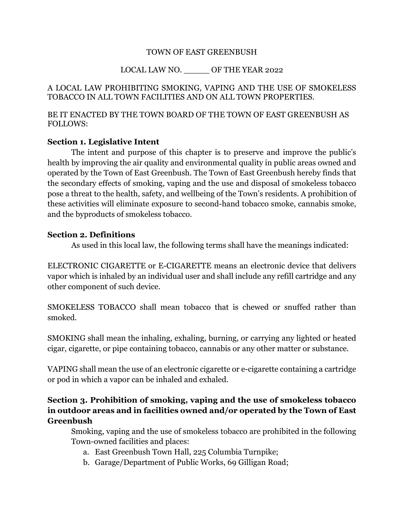## TOWN OF EAST GREENBUSH

## LOCAL LAW NO. \_\_\_\_\_ OF THE YEAR 2022

## A LOCAL LAW PROHIBITING SMOKING, VAPING AND THE USE OF SMOKELESS TOBACCO IN ALL TOWN FACILITIES AND ON ALL TOWN PROPERTIES.

## BE IT ENACTED BY THE TOWN BOARD OF THE TOWN OF EAST GREENBUSH AS FOLLOWS:

## **Section 1. Legislative Intent**

The intent and purpose of this chapter is to preserve and improve the public's health by improving the air quality and environmental quality in public areas owned and operated by the Town of East Greenbush. The Town of East Greenbush hereby finds that the secondary effects of smoking, vaping and the use and disposal of smokeless tobacco pose a threat to the health, safety, and wellbeing of the Town's residents. A prohibition of these activities will eliminate exposure to second-hand tobacco smoke, cannabis smoke, and the byproducts of smokeless tobacco.

## **Section 2. Definitions**

As used in this local law, the following terms shall have the meanings indicated:

ELECTRONIC CIGARETTE or E-CIGARETTE means an electronic device that delivers vapor which is inhaled by an individual user and shall include any refill cartridge and any other component of such device.

SMOKELESS TOBACCO shall mean tobacco that is chewed or snuffed rather than smoked.

SMOKING shall mean the inhaling, exhaling, burning, or carrying any lighted or heated cigar, cigarette, or pipe containing tobacco, cannabis or any other matter or substance.

VAPING shall mean the use of an electronic cigarette or e-cigarette containing a cartridge or pod in which a vapor can be inhaled and exhaled.

# **Section 3. Prohibition of smoking, vaping and the use of smokeless tobacco in outdoor areas and in facilities owned and/or operated by the Town of East Greenbush**

Smoking, vaping and the use of smokeless tobacco are prohibited in the following Town-owned facilities and places:

- a. East Greenbush Town Hall, 225 Columbia Turnpike;
- b. Garage/Department of Public Works, 69 Gilligan Road;